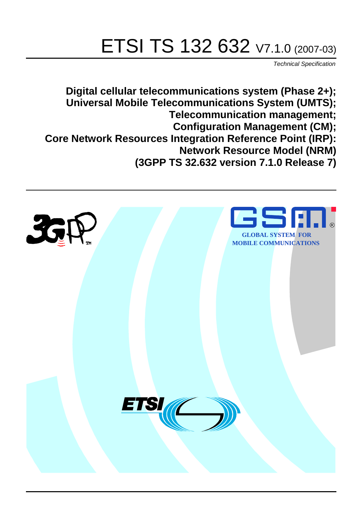# ETSI TS 132 632 V7.1.0 (2007-03)

Technical Specification

**Digital cellular telecommunications system (Phase 2+); Universal Mobile Telecommunications System (UMTS); Telecommunication management; Configuration Management (CM); Core Network Resources Integration Reference Point (IRP): Network Resource Model (NRM) (3GPP TS 32.632 version 7.1.0 Release 7)**

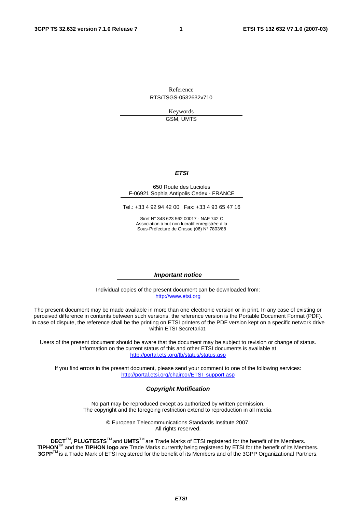Reference RTS/TSGS-0532632v710

> Keywords GSM, UMTS

#### **ETSI**

#### 650 Route des Lucioles F-06921 Sophia Antipolis Cedex - FRANCE

Tel.: +33 4 92 94 42 00 Fax: +33 4 93 65 47 16

Siret N° 348 623 562 00017 - NAF 742 C Association à but non lucratif enregistrée à la Sous-Préfecture de Grasse (06) N° 7803/88

#### **Important notice**

Individual copies of the present document can be downloaded from: [http://www.etsi.org](http://www.etsi.org/)

The present document may be made available in more than one electronic version or in print. In any case of existing or perceived difference in contents between such versions, the reference version is the Portable Document Format (PDF). In case of dispute, the reference shall be the printing on ETSI printers of the PDF version kept on a specific network drive within ETSI Secretariat.

Users of the present document should be aware that the document may be subject to revision or change of status. Information on the current status of this and other ETSI documents is available at <http://portal.etsi.org/tb/status/status.asp>

If you find errors in the present document, please send your comment to one of the following services: [http://portal.etsi.org/chaircor/ETSI\\_support.asp](http://portal.etsi.org/chaircor/ETSI_support.asp)

#### **Copyright Notification**

No part may be reproduced except as authorized by written permission. The copyright and the foregoing restriction extend to reproduction in all media.

> © European Telecommunications Standards Institute 2007. All rights reserved.

**DECT**TM, **PLUGTESTS**TM and **UMTS**TM are Trade Marks of ETSI registered for the benefit of its Members. **TIPHON**TM and the **TIPHON logo** are Trade Marks currently being registered by ETSI for the benefit of its Members. **3GPP**TM is a Trade Mark of ETSI registered for the benefit of its Members and of the 3GPP Organizational Partners.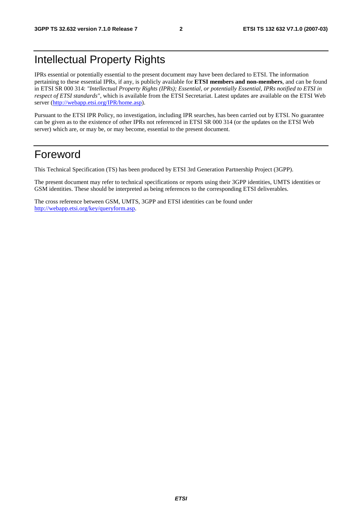## Intellectual Property Rights

IPRs essential or potentially essential to the present document may have been declared to ETSI. The information pertaining to these essential IPRs, if any, is publicly available for **ETSI members and non-members**, and can be found in ETSI SR 000 314: *"Intellectual Property Rights (IPRs); Essential, or potentially Essential, IPRs notified to ETSI in respect of ETSI standards"*, which is available from the ETSI Secretariat. Latest updates are available on the ETSI Web server ([http://webapp.etsi.org/IPR/home.asp\)](http://webapp.etsi.org/IPR/home.asp).

Pursuant to the ETSI IPR Policy, no investigation, including IPR searches, has been carried out by ETSI. No guarantee can be given as to the existence of other IPRs not referenced in ETSI SR 000 314 (or the updates on the ETSI Web server) which are, or may be, or may become, essential to the present document.

## Foreword

This Technical Specification (TS) has been produced by ETSI 3rd Generation Partnership Project (3GPP).

The present document may refer to technical specifications or reports using their 3GPP identities, UMTS identities or GSM identities. These should be interpreted as being references to the corresponding ETSI deliverables.

The cross reference between GSM, UMTS, 3GPP and ETSI identities can be found under [http://webapp.etsi.org/key/queryform.asp.](http://webapp.etsi.org/key/queryform.asp)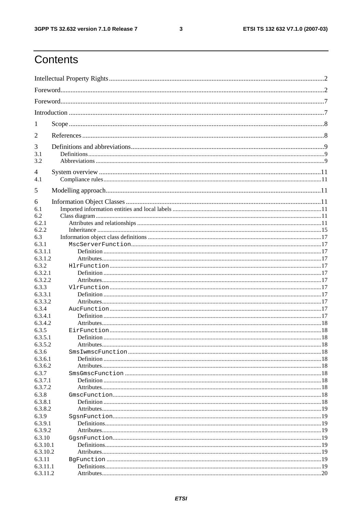#### $\mathbf{3}$

## Contents

| 1                  |  |
|--------------------|--|
| 2                  |  |
| 3                  |  |
| 3.1                |  |
| 3.2                |  |
| 4                  |  |
| 4.1                |  |
| 5                  |  |
| 6                  |  |
| 6.1                |  |
| 6.2                |  |
| 6.2.1              |  |
| 6.2.2              |  |
| 6.3                |  |
| 6.3.1<br>6.3.1.1   |  |
| 6.3.1.2            |  |
| 6.3.2              |  |
| 6.3.2.1            |  |
| 6.3.2.2            |  |
| 6.3.3              |  |
| 6.3.3.1            |  |
| 6.3.3.2            |  |
| 6.3.4              |  |
| 6.3.4.1            |  |
| 6.3.4.2            |  |
| 6.3.5              |  |
| 6.3.5.1            |  |
| 6.3.5.2            |  |
| 6.3.6              |  |
| 6.3.6.1            |  |
| 6.3.6.2            |  |
| 6.3.7              |  |
| 6.3.7.1            |  |
| 6.3.7.2            |  |
| 6.3.8              |  |
| 6.3.8.1            |  |
| 6.3.8.2            |  |
| 6.3.9              |  |
| 6.3.9.1<br>6.3.9.2 |  |
| 6.3.10             |  |
| 6.3.10.1           |  |
| 6.3.10.2           |  |
| 6.3.11             |  |
| 6.3.11.1           |  |
| 6.3.11.2           |  |
|                    |  |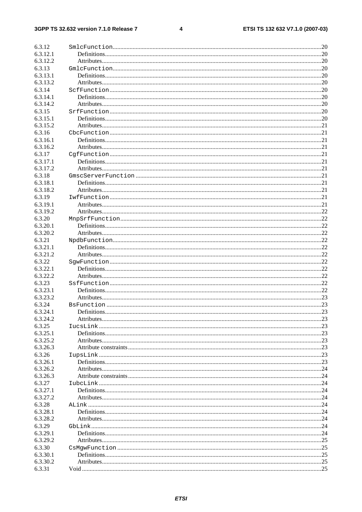#### $\overline{\mathbf{4}}$

| 6.3.12   |     |
|----------|-----|
|          |     |
| 6.3.12.1 |     |
| 6.3.12.2 |     |
| 6.3.13   |     |
| 6.3.13.1 |     |
| 6.3.13.2 |     |
|          |     |
| 6.3.14   |     |
| 6.3.14.1 |     |
| 6.3.14.2 |     |
| 6.3.15   |     |
| 6.3.15.1 |     |
| 6.3.15.2 |     |
|          |     |
| 6.3.16   |     |
| 6.3.16.1 |     |
| 6.3.16.2 |     |
| 6.3.17   |     |
| 6.3.17.1 |     |
| 6.3.17.2 |     |
|          |     |
| 6.3.18   |     |
| 6.3.18.1 |     |
| 6.3.18.2 |     |
| 6.3.19   |     |
| 6.3.19.1 |     |
|          |     |
| 6.3.19.2 |     |
| 6.3.20   |     |
| 6.3.20.1 |     |
| 6.3.20.2 |     |
| 6.3.21   |     |
| 6.3.21.1 |     |
|          |     |
| 6.3.21.2 |     |
| 6.3.22   |     |
| 6.3.22.1 |     |
| 6.3.22.2 |     |
| 6.3.23   |     |
| 6.3.23.1 |     |
| 6.3.23.2 |     |
|          |     |
| 6.3.24   |     |
| 6.3.24.1 |     |
| 6.3.24.2 |     |
| 6.3.25   |     |
| 6.3.25.1 |     |
|          |     |
| 6.3.25.2 |     |
| 6.3.26.3 |     |
| 6.3.26   |     |
| 6.3.26.1 |     |
| 6.3.26.2 |     |
| 6.3.26.3 |     |
| 6.3.27   |     |
|          |     |
| 6.3.27.1 |     |
| 6.3.27.2 |     |
| 6.3.28   |     |
| 6.3.28.1 |     |
| 6.3.28.2 |     |
|          |     |
| 6.3.29   |     |
| 6.3.29.1 |     |
| 6.3.29.2 | .25 |
| 6.3.30   | .25 |
| 6.3.30.1 |     |
| 6.3.30.2 |     |
| 6.3.31   |     |
|          |     |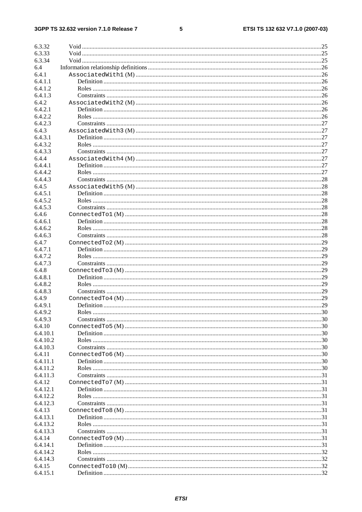#### $\overline{\mathbf{5}}$

| 6.3.32   |  |
|----------|--|
| 6.3.33   |  |
|          |  |
| 6.3.34   |  |
| 6.4      |  |
| 6.4.1    |  |
| 6.4.1.1  |  |
| 6.4.1.2  |  |
| 6.4.1.3  |  |
| 6.4.2    |  |
| 6.4.2.1  |  |
| 6.4.2.2  |  |
| 6.4.2.3  |  |
| 6.4.3    |  |
| 6.4.3.1  |  |
| 6.4.3.2  |  |
| 6.4.3.3  |  |
| 6.4.4    |  |
| 6.4.4.1  |  |
| 6.4.4.2  |  |
| 6.4.4.3  |  |
| 6.4.5    |  |
| 6.4.5.1  |  |
|          |  |
| 6.4.5.2  |  |
| 6.4.5.3  |  |
| 6.4.6    |  |
| 6.4.6.1  |  |
| 6.4.6.2  |  |
| 6.4.6.3  |  |
| 6.4.7    |  |
| 6.4.7.1  |  |
| 6.4.7.2  |  |
| 6.4.7.3  |  |
| 6.4.8    |  |
| 6.4.8.1  |  |
| 6.4.8.2  |  |
| 6.4.8.3  |  |
| 6.4.9    |  |
| 6.4.9.1  |  |
|          |  |
| 6.4.9.2  |  |
| 6.4.9.3  |  |
| 6.4.10   |  |
| 6.4.10.1 |  |
| 6.4.10.2 |  |
| 6.4.10.3 |  |
| 6.4.11   |  |
| 6.4.11.1 |  |
| 6.4.11.2 |  |
| 6.4.11.3 |  |
| 6.4.12   |  |
| 6.4.12.1 |  |
| 6.4.12.2 |  |
| 6.4.12.3 |  |
| 6.4.13   |  |
| 6.4.13.1 |  |
| 6.4.13.2 |  |
| 6.4.13.3 |  |
|          |  |
| 6.4.14   |  |
| 6.4.14.1 |  |
| 6.4.14.2 |  |
| 6.4.14.3 |  |
| 6.4.15   |  |
| 6.4.15.1 |  |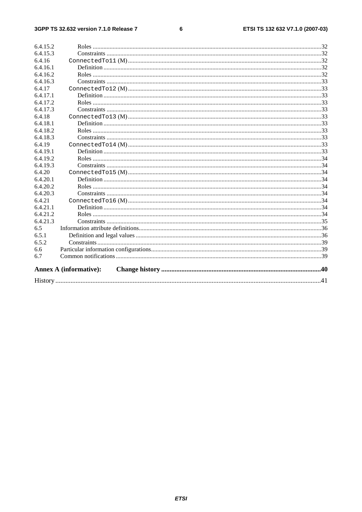#### $\bf 6$

|                    | <b>Annex A (informative):</b> |  |
|--------------------|-------------------------------|--|
| 6.7                |                               |  |
| 6.6                |                               |  |
| 6.5.2              |                               |  |
| 6.5.1              |                               |  |
| 6.5                |                               |  |
| 6.4.21.3           |                               |  |
| 6.4.21.2           |                               |  |
| 6.4.21.1           |                               |  |
| 6.4.21             |                               |  |
| 6.4.20.3           |                               |  |
| 6.4.20.2           |                               |  |
| 6.4.20.1           |                               |  |
| 6.4.20             |                               |  |
| 6.4.19.3           |                               |  |
| 6.4.19.2           |                               |  |
| 6.4.19.1           |                               |  |
| 6.4.19             |                               |  |
| 6.4.18.3           |                               |  |
| 6.4.18.2           |                               |  |
| 6.4.18.1           |                               |  |
| 6.4.18             |                               |  |
| 6.4.17.3           |                               |  |
| 6.4.17.2           |                               |  |
| 6.4.17.1           |                               |  |
| 6.4.17             |                               |  |
| 6.4.16.3           |                               |  |
| 6.4.16.2           |                               |  |
| 6.4.16<br>6.4.16.1 |                               |  |
| 6.4.15.3           |                               |  |
| 6.4.15.2           |                               |  |
|                    |                               |  |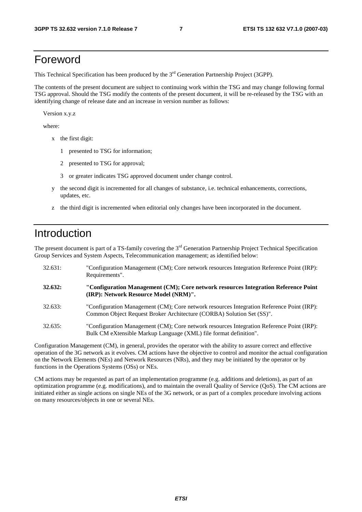## Foreword

This Technical Specification has been produced by the 3<sup>rd</sup> Generation Partnership Project (3GPP).

The contents of the present document are subject to continuing work within the TSG and may change following formal TSG approval. Should the TSG modify the contents of the present document, it will be re-released by the TSG with an identifying change of release date and an increase in version number as follows:

Version x.y.z

where:

- x the first digit:
	- 1 presented to TSG for information;
	- 2 presented to TSG for approval;
	- 3 or greater indicates TSG approved document under change control.
- y the second digit is incremented for all changes of substance, i.e. technical enhancements, corrections, updates, etc.
- z the third digit is incremented when editorial only changes have been incorporated in the document.

## Introduction

The present document is part of a TS-family covering the  $3<sup>rd</sup>$  Generation Partnership Project Technical Specification Group Services and System Aspects, Telecommunication management; as identified below:

| 32.631: | "Configuration Management (CM); Core network resources Integration Reference Point (IRP):<br>Requirements".                                                        |
|---------|--------------------------------------------------------------------------------------------------------------------------------------------------------------------|
| 32.632: | "Configuration Management (CM); Core network resources Integration Reference Point<br>(IRP): Network Resource Model (NRM)".                                        |
| 32.633: | "Configuration Management (CM); Core network resources Integration Reference Point (IRP):<br>Common Object Request Broker Architecture (CORBA) Solution Set (SS)". |
| 32.635: | "Configuration Management (CM); Core network resources Integration Reference Point (IRP):<br>Bulk CM eXtensible Markup Language (XML) file format definition".     |

Configuration Management (CM), in general, provides the operator with the ability to assure correct and effective operation of the 3G network as it evolves. CM actions have the objective to control and monitor the actual configuration on the Network Elements (NEs) and Network Resources (NRs), and they may be initiated by the operator or by functions in the Operations Systems (OSs) or NEs.

CM actions may be requested as part of an implementation programme (e.g. additions and deletions), as part of an optimization programme (e.g. modifications), and to maintain the overall Quality of Service (QoS). The CM actions are initiated either as single actions on single NEs of the 3G network, or as part of a complex procedure involving actions on many resources/objects in one or several NEs.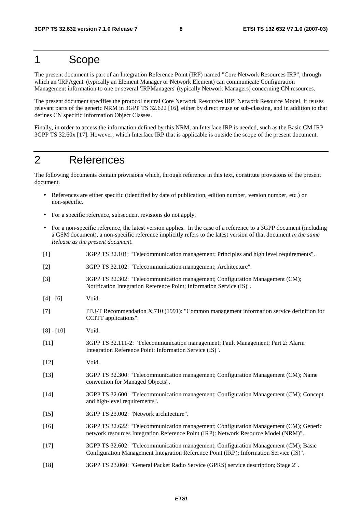## 1 Scope

The present document is part of an Integration Reference Point (IRP) named "Core Network Resources IRP", through which an 'IRPAgent' (typically an Element Manager or Network Element) can communicate Configuration Management information to one or several 'IRPManagers' (typically Network Managers) concerning CN resources.

The present document specifies the protocol neutral Core Network Resources IRP: Network Resource Model. It reuses relevant parts of the generic NRM in 3GPP TS 32.622 [16], either by direct reuse or sub-classing, and in addition to that defines CN specific Information Object Classes.

Finally, in order to access the information defined by this NRM, an Interface IRP is needed, such as the Basic CM IRP 3GPP TS 32.60x [17]. However, which Interface IRP that is applicable is outside the scope of the present document.

## 2 References

The following documents contain provisions which, through reference in this text, constitute provisions of the present document.

- References are either specific (identified by date of publication, edition number, version number, etc.) or non-specific.
- For a specific reference, subsequent revisions do not apply.
- For a non-specific reference, the latest version applies. In the case of a reference to a 3GPP document (including a GSM document), a non-specific reference implicitly refers to the latest version of that document *in the same Release as the present document*.

| $[1]$        | 3GPP TS 32.101: "Telecommunication management; Principles and high level requirements".                                                                                       |
|--------------|-------------------------------------------------------------------------------------------------------------------------------------------------------------------------------|
| $[2]$        | 3GPP TS 32.102: "Telecommunication management; Architecture".                                                                                                                 |
| $[3]$        | 3GPP TS 32.302: "Telecommunication management; Configuration Management (CM);<br>Notification Integration Reference Point; Information Service (IS)".                         |
| $[4] - [6]$  | Void.                                                                                                                                                                         |
| $[7]$        | ITU-T Recommendation X.710 (1991): "Common management information service definition for<br>CCITT applications".                                                              |
| $[8] - [10]$ | Void.                                                                                                                                                                         |
| $[11]$       | 3GPP TS 32.111-2: "Telecommunication management; Fault Management; Part 2: Alarm<br>Integration Reference Point: Information Service (IS)".                                   |
| $[12]$       | Void.                                                                                                                                                                         |
| $[13]$       | 3GPP TS 32.300: "Telecommunication management; Configuration Management (CM); Name<br>convention for Managed Objects".                                                        |
| $[14]$       | 3GPP TS 32.600: "Telecommunication management; Configuration Management (CM); Concept<br>and high-level requirements".                                                        |
| $[15]$       | 3GPP TS 23.002: "Network architecture".                                                                                                                                       |
| $[16]$       | 3GPP TS 32.622: "Telecommunication management; Configuration Management (CM); Generic<br>network resources Integration Reference Point (IRP): Network Resource Model (NRM)".  |
| $[17]$       | 3GPP TS 32.602: "Telecommunication management; Configuration Management (CM); Basic<br>Configuration Management Integration Reference Point (IRP): Information Service (IS)". |
| $[18]$       | 3GPP TS 23.060: "General Packet Radio Service (GPRS) service description; Stage 2".                                                                                           |
|              |                                                                                                                                                                               |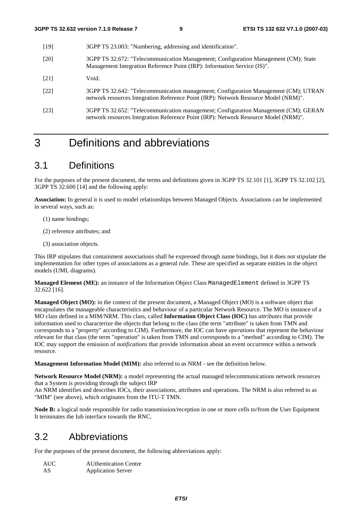- [19] 3GPP TS 23.003: "Numbering, addressing and identification".
- [20] 3GPP TS 32.672: "Telecommunication Management; Configuration Management (CM); State Management Integration Reference Point (IRP): Information Service (IS)".
- [21] Void.
- [22] 3GPP TS 32.642: "Telecommunication management; Configuration Management (CM); UTRAN network resources Integration Reference Point (IRP): Network Resource Model (NRM)".
- [23] 3GPP TS 32.652: "Telecommunication management; Configuration Management (CM); GERAN network resources Integration Reference Point (IRP): Network Resource Model (NRM)".

## 3 Definitions and abbreviations

## 3.1 Definitions

For the purposes of the present document, the terms and definitions given in 3GPP TS 32.101 [1], 3GPP TS 32.102 [2], 3GPP TS 32.600 [14] and the following apply:

**Association:** In general it is used to model relationships between Managed Objects. Associations can be implemented in several ways, such as:

- (1) name bindings;
- (2) reference attributes; and
- (3) association objects.

This IRP stipulates that containment associations shall be expressed through name bindings, but it does not stipulate the implementation for other types of associations as a general rule. These are specified as separate entities in the object models (UML diagrams).

**Managed Element (ME):** an instance of the Information Object Class ManagedElement defined in 3GPP TS 32.622 [16].

**Managed Object (MO):** in the context of the present document, a Managed Object (MO) is a software object that encapsulates the manageable characteristics and behaviour of a particular Network Resource. The MO is instance of a MO class defined in a MIM/NRM. This class, called **Information Object Class (IOC)** has *attributes* that provide information used to characterize the objects that belong to the class (the term "attribute" is taken from TMN and corresponds to a "property" according to CIM). Furthermore, the IOC can have *operations* that represent the behaviour relevant for that class (the term "operation" is taken from TMN and corresponds to a "method" according to CIM). The IOC may support the emission of *notifications* that provide information about an event occurrence within a network resource.

**Management Information Model (MIM):** also referred to as NRM - see the definition below.

**Network Resource Model (NRM):** a model representing the actual managed telecommunications network resources that a System is providing through the subject IRP

An NRM identifies and describes IOCs, their associations, attributes and operations. The NRM is also referred to as "MIM" (see above), which originates from the ITU-T TMN.

**Node B:** a logical node responsible for radio transmission/reception in one or more cells to/from the User Equipment It terminates the Iub interface towards the RNC.

## 3.2 Abbreviations

For the purposes of the present document, the following abbreviations apply:

| AUC. | <b>AU</b> thentication Centre |
|------|-------------------------------|
| AS   | <b>Application Server</b>     |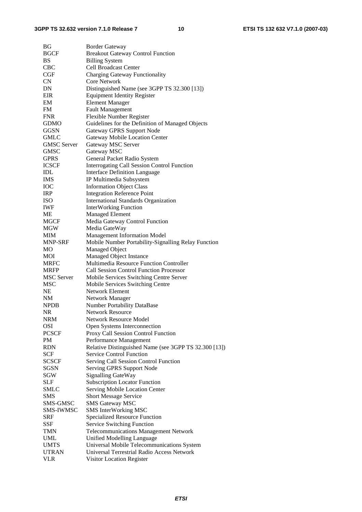| BG                 | <b>Border Gateway</b>                                 |
|--------------------|-------------------------------------------------------|
| <b>BGCF</b>        | <b>Breakout Gateway Control Function</b>              |
| <b>BS</b>          | <b>Billing System</b>                                 |
| <b>CBC</b>         | <b>Cell Broadcast Center</b>                          |
| CGF                | <b>Charging Gateway Functionality</b>                 |
| CN                 | Core Network                                          |
| DN                 | Distinguished Name (see 3GPP TS 32.300 [13])          |
| EIR                | <b>Equipment Identity Register</b>                    |
| EM                 | <b>Element Manager</b>                                |
| <b>FM</b>          | <b>Fault Management</b>                               |
| <b>FNR</b>         | Flexible Number Register                              |
| <b>GDMO</b>        | Guidelines for the Definition of Managed Objects      |
| <b>GGSN</b>        | Gateway GPRS Support Node                             |
| <b>GMLC</b>        | <b>Gateway Mobile Location Center</b>                 |
|                    |                                                       |
| <b>GMSC</b> Server | Gateway MSC Server                                    |
| <b>GMSC</b>        | Gateway MSC                                           |
| <b>GPRS</b>        | General Packet Radio System                           |
| <b>ICSCF</b>       | <b>Interrogating Call Session Control Function</b>    |
| <b>IDL</b>         | <b>Interface Definition Language</b>                  |
| <b>IMS</b>         | IP Multimedia Subsystem                               |
| <b>IOC</b>         | <b>Information Object Class</b>                       |
| <b>IRP</b>         | <b>Integration Reference Point</b>                    |
| <b>ISO</b>         | <b>International Standards Organization</b>           |
| <b>IWF</b>         | <b>InterWorking Function</b>                          |
| ME                 | <b>Managed Element</b>                                |
| MGCF               | Media Gateway Control Function                        |
| MGW                | Media GateWay                                         |
| MIM                | <b>Management Information Model</b>                   |
| MNP-SRF            | Mobile Number Portability-Signalling Relay Function   |
| MO                 | Managed Object                                        |
| <b>MOI</b>         | Managed Object Instance                               |
| <b>MRFC</b>        | Multimedia Resource Function Controller               |
| <b>MRFP</b>        | <b>Call Session Control Function Processor</b>        |
| <b>MSC</b> Server  | Mobile Services Switching Centre Server               |
| <b>MSC</b>         | Mobile Services Switching Centre                      |
| <b>NE</b>          | <b>Network Element</b>                                |
| NM                 | Network Manager                                       |
| <b>NPDB</b>        | <b>Number Portability DataBase</b>                    |
| <b>NR</b>          | <b>Network Resource</b>                               |
| <b>NRM</b>         | Network Resource Model                                |
| <b>OSI</b>         | Open Systems Interconnection                          |
| <b>PCSCF</b>       | Proxy Call Session Control Function                   |
| PM                 |                                                       |
| <b>RDN</b>         |                                                       |
|                    | Performance Management                                |
|                    | Relative Distinguished Name (see 3GPP TS 32.300 [13]) |
| SCF                | <b>Service Control Function</b>                       |
| <b>SCSCF</b>       | Serving Call Session Control Function                 |
| SGSN               | Serving GPRS Support Node                             |
| SGW                | <b>Signalling GateWay</b>                             |
| <b>SLF</b>         | <b>Subscription Locator Function</b>                  |
| SMLC               | Serving Mobile Location Center                        |
| <b>SMS</b>         | <b>Short Message Service</b>                          |
| SMS-GMSC           | <b>SMS Gateway MSC</b>                                |
| SMS-IWMSC          | <b>SMS InterWorking MSC</b>                           |
| <b>SRF</b>         | <b>Specialized Resource Function</b>                  |
| SSF                | <b>Service Switching Function</b>                     |
| TMN                | <b>Telecommunications Management Network</b>          |
| UML                | <b>Unified Modelling Language</b>                     |
| <b>UMTS</b>        | Universal Mobile Telecommunications System            |
| <b>UTRAN</b>       | Universal Terrestrial Radio Access Network            |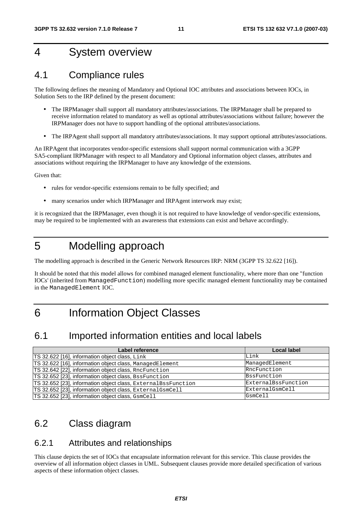## 4 System overview

## 4.1 Compliance rules

The following defines the meaning of Mandatory and Optional IOC attributes and associations between IOCs, in Solution Sets to the IRP defined by the present document:

- The IRPManager shall support all mandatory attributes/associations. The IRPManager shall be prepared to receive information related to mandatory as well as optional attributes/associations without failure; however the IRPManager does not have to support handling of the optional attributes/associations.
- The IRPAgent shall support all mandatory attributes/associations. It may support optional attributes/associations.

An IRPAgent that incorporates vendor-specific extensions shall support normal communication with a 3GPP SA5-compliant IRPManager with respect to all Mandatory and Optional information object classes, attributes and associations without requiring the IRPManager to have any knowledge of the extensions.

Given that:

- rules for vendor-specific extensions remain to be fully specified; and
- many scenarios under which IRPManager and IRPAgent interwork may exist;

it is recognized that the IRPManager, even though it is not required to have knowledge of vendor-specific extensions, may be required to be implemented with an awareness that extensions can exist and behave accordingly.

## 5 Modelling approach

The modelling approach is described in the Generic Network Resources IRP: NRM (3GPP TS 32.622 [16]).

It should be noted that this model allows for combined managed element functionality, where more than one "function IOCs' (inherited from ManagedFunction) modelling more specific managed element functionality may be contained in the ManagedElement IOC.

## 6 Information Object Classes

## 6.1 Imported information entities and local labels

| Label reference                                                | Local label         |
|----------------------------------------------------------------|---------------------|
| TS 32.622 [16], information object class, Link                 | Link                |
| TS 32.622 [16], information object class, ManagedElement       | ManagedElement      |
| TS 32.642 [22], information object class, RncFunction          | RncFunction         |
| TS 32.652 [23], information object class, BssFunction          | <b>B</b> ssFunction |
| TS 32.652 [23], information object class, External BssFunction | ExternalBssFunction |
| TS 32.652 [23], information object class, External GsmCell     | ExternalGsmCell     |
| TS 32.652 [23], information object class, GsmCell              | GsmCell             |

## 6.2 Class diagram

## 6.2.1 Attributes and relationships

This clause depicts the set of IOCs that encapsulate information relevant for this service. This clause provides the overview of all information object classes in UML. Subsequent clauses provide more detailed specification of various aspects of these information object classes.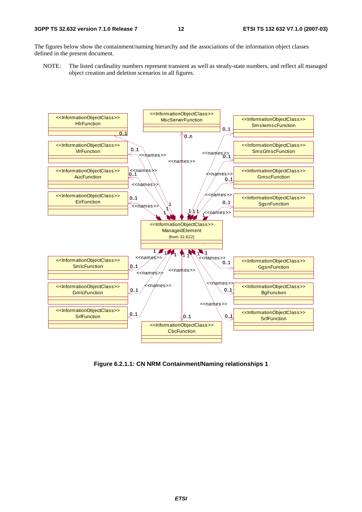The figures below show the containment/naming hierarchy and the associations of the information object classes defined in the present document.

NOTE: The listed cardinality numbers represent transient as well as steady-state numbers, and reflect all managed object creation and deletion scenarios in all figures.



**Figure 6.2.1.1: CN NRM Containment/Naming relationships 1**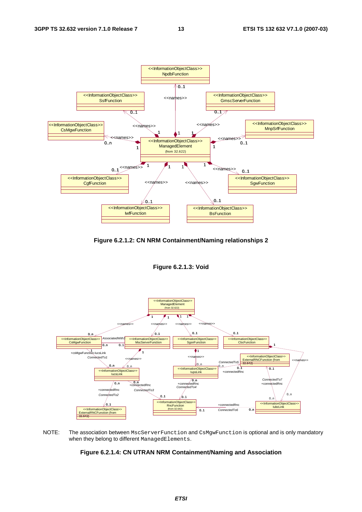

**Figure 6.2.1.2: CN NRM Containment/Naming relationships 2** 

**Figure 6.2.1.3: Void** 



NOTE: The association between MscServerFunction and CsMgwFunction is optional and is only mandatory when they belong to different ManagedElements.

**Figure 6.2.1.4: CN UTRAN NRM Containment/Naming and Association**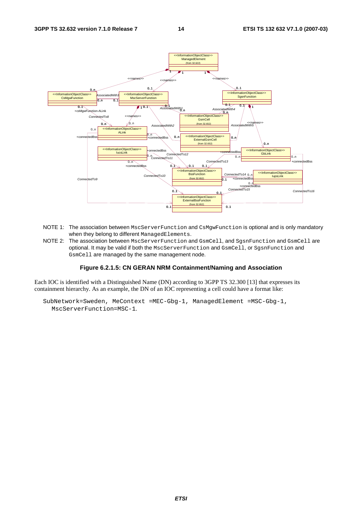

- NOTE 1: The association between MscServerFunction and CsMgwFunction is optional and is only mandatory when they belong to different ManagedElements.
- NOTE 2: The association between MscServerFunction and GsmCell, and SgsnFunction and GsmCell are optional. It may be valid if both the MscServerFunction and GsmCell, or SgsnFunction and GsmCell are managed by the same management node.

#### **Figure 6.2.1.5: CN GERAN NRM Containment/Naming and Association**

Each IOC is identified with a Distinguished Name (DN) according to 3GPP TS 32.300 [13] that expresses its containment hierarchy. As an example, the DN of an IOC representing a cell could have a format like:

SubNetwork=Sweden, MeContext =MEC-Gbg-1, ManagedElement =MSC-Gbg-1, MscServerFunction=MSC-1.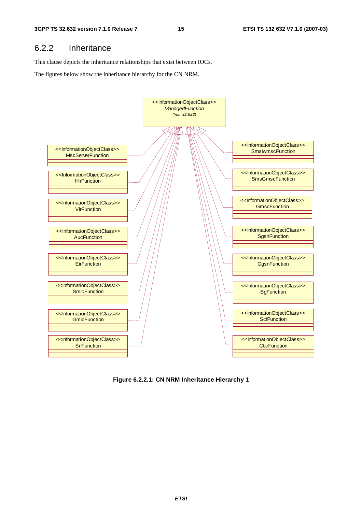## 6.2.2 Inheritance

This clause depicts the inheritance relationships that exist between IOCs.

The figures below show the inheritance hierarchy for the CN NRM.



**Figure 6.2.2.1: CN NRM Inheritance Hierarchy 1**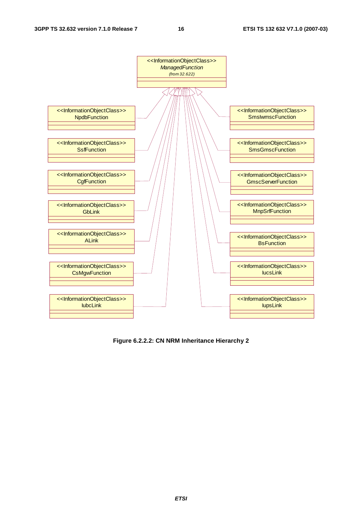

**Figure 6.2.2.2: CN NRM Inheritance Hierarchy 2**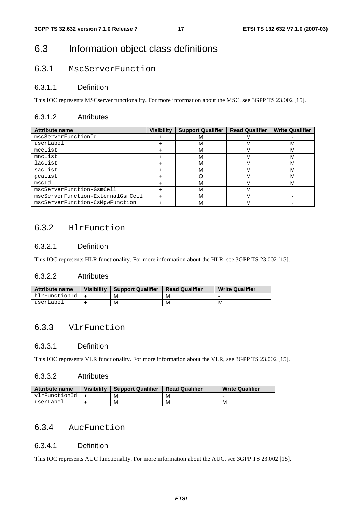## 6.3 Information object class definitions

## 6.3.1 MscServerFunction

## 6.3.1.1 Definition

This IOC represents MSCserver functionality. For more information about the MSC, see 3GPP TS 23.002 [15].

## 6.3.1.2 Attributes

| <b>Attribute name</b>             | <b>Visibility</b> | <b>Support Qualifier</b> | <b>Read Qualifier</b> | <b>Write Qualifier</b> |
|-----------------------------------|-------------------|--------------------------|-----------------------|------------------------|
| mscServerFunctionId               |                   | M                        |                       |                        |
| userLabel                         |                   | M                        |                       | M                      |
| mccList                           |                   | M                        |                       | M                      |
| mncList                           |                   | M                        |                       | м                      |
| lacList                           |                   | M                        | M                     | м                      |
| sacList                           |                   | M                        | M                     | м                      |
| qcaList                           |                   |                          |                       | м                      |
| mscId                             |                   | м                        | М                     | м                      |
| mscServerFunction-GsmCell         |                   | M                        | М                     |                        |
| mscServerFunction-ExternalGsmCell |                   | M                        |                       |                        |
| mscServerFunction-CsMqwFunction   |                   | M                        |                       |                        |

## 6.3.2 HlrFunction

## 6.3.2.1 Definition

This IOC represents HLR functionality. For more information about the HLR, see 3GPP TS 23.002 [15].

## 6.3.2.2 Attributes

| <b>Attribute name</b> | <b>Visibility</b> | <b>Support Qualifier</b> | <b>Read Qualifier</b> | <b>Write Qualifier</b>   |
|-----------------------|-------------------|--------------------------|-----------------------|--------------------------|
| hlrFunctionId         |                   | М                        | M                     | $\overline{\phantom{0}}$ |
| userLabel             |                   | M                        | M                     | М                        |

## 6.3.3 VlrFunction

## 6.3.3.1 Definition

This IOC represents VLR functionality. For more information about the VLR, see 3GPP TS 23.002 [15].

#### 6.3.3.2 Attributes

| <b>Attribute name</b> | <b>Visibility</b> | <b>Support Qualifier</b> | <b>Read Qualifier</b> | <b>Write Qualifier</b> |
|-----------------------|-------------------|--------------------------|-----------------------|------------------------|
| vlrFunctionId         |                   | М                        | M                     |                        |
| userLabel             |                   | М                        | M                     | M                      |

## 6.3.4 AucFunction

### 6.3.4.1 Definition

This IOC represents AUC functionality. For more information about the AUC, see 3GPP TS 23.002 [15].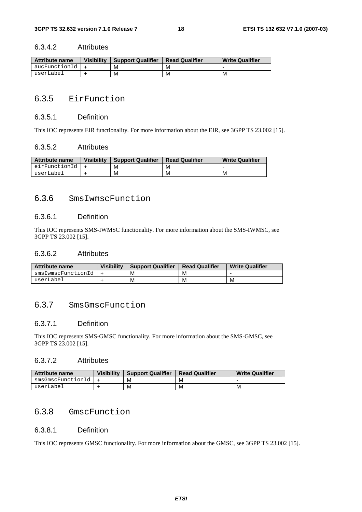#### 6.3.4.2 Attributes

| <b>Attribute name</b> | <b>Visibility</b> | <b>Support Qualifier</b> | <b>Read Qualifier</b> | <b>Write Qualifier</b> |
|-----------------------|-------------------|--------------------------|-----------------------|------------------------|
| aucFunctionId         |                   | М                        | M                     |                        |
| userLabel             |                   | M                        | M                     | M                      |

## 6.3.5 EirFunction

### 6.3.5.1 Definition

This IOC represents EIR functionality. For more information about the EIR, see 3GPP TS 23.002 [15].

#### 6.3.5.2 Attributes

| <b>Attribute name</b> | <b>Visibility</b> | <b>Support Qualifier</b> | <b>Read Qualifier</b> | <b>Write Qualifier</b> |
|-----------------------|-------------------|--------------------------|-----------------------|------------------------|
| eirFunctionId   +     |                   | M                        | м                     |                        |
| userLabel             |                   | М                        | М                     | M                      |

## 6.3.6 SmsIwmscFunction

### 6.3.6.1 Definition

This IOC represents SMS-IWMSC functionality. For more information about the SMS-IWMSC, see 3GPP TS 23.002 [15].

### 6.3.6.2 Attributes

| <b>Attribute name</b> | <b>Visibility</b> | <b>Support Qualifier</b> | <b>Read Qualifier</b> | <b>Write Qualifier</b> |
|-----------------------|-------------------|--------------------------|-----------------------|------------------------|
| smsIwmscFunctionId    |                   | м                        | M                     |                        |
| userLabel             |                   | М                        | M                     | М                      |

## 6.3.7 SmsGmscFunction

## 6.3.7.1 Definition

This IOC represents SMS-GMSC functionality. For more information about the SMS-GMSC, see 3GPP TS 23.002 [15].

## 6.3.7.2 Attributes

| Attribute name    | <b>Visibility</b> | <b>Support Qualifier</b> | <b>Read Qualifier</b> | <b>Write Qualifier</b> |
|-------------------|-------------------|--------------------------|-----------------------|------------------------|
| smsGmscFunctionId |                   | M                        | M                     |                        |
| userLabel         |                   | M                        | M                     | М                      |

## 6.3.8 GmscFunction

## 6.3.8.1 Definition

This IOC represents GMSC functionality. For more information about the GMSC, see 3GPP TS 23.002 [15].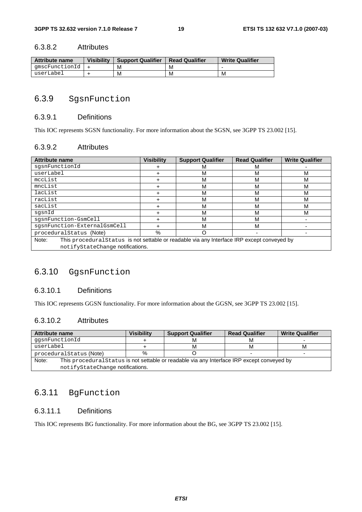## 6.3.8.2 Attributes

| Attribute name | <b>Visibility</b> | <b>Support Qualifier</b> | <b>Read Qualifier</b> | <b>Write Qualifier</b> |
|----------------|-------------------|--------------------------|-----------------------|------------------------|
| amscFunctionId |                   | м                        | M                     | -                      |
| userLabel      |                   | М                        | M                     | м                      |

## 6.3.9 SgsnFunction

### 6.3.9.1 Definitions

This IOC represents SGSN functionality. For more information about the SGSN, see 3GPP TS 23.002 [15].

#### 6.3.9.2 Attributes

| <b>Attribute name</b>                                                                                | <b>Visibility</b>                | <b>Support Qualifier</b> | <b>Read Qualifier</b> | <b>Write Qualifier</b> |  |  |
|------------------------------------------------------------------------------------------------------|----------------------------------|--------------------------|-----------------------|------------------------|--|--|
| sgsnFunctionId                                                                                       |                                  | М                        | м                     |                        |  |  |
| userLabel                                                                                            |                                  | м                        | М                     | M                      |  |  |
| mccList                                                                                              |                                  | м                        | М                     | М                      |  |  |
| mncList                                                                                              |                                  | м                        | М                     | M                      |  |  |
| lacList                                                                                              |                                  | м                        | М                     | M                      |  |  |
| racList                                                                                              |                                  | М                        | М                     | M                      |  |  |
| sacList                                                                                              |                                  | М                        | М                     | М                      |  |  |
| sqsnId                                                                                               |                                  | М                        | М                     | M                      |  |  |
| sgsnFunction-GsmCell                                                                                 |                                  | M                        | M                     |                        |  |  |
| sqsnFunction-ExternalGsmCell                                                                         |                                  | M                        | М                     |                        |  |  |
| proceduralStatus (Note)                                                                              | $\%$                             |                          |                       |                        |  |  |
| This procedural Status is not settable or readable via any Interface IRP except conveyed by<br>Note: |                                  |                          |                       |                        |  |  |
|                                                                                                      | notifyStateChange notifications. |                          |                       |                        |  |  |

## 6.3.10 GgsnFunction

## 6.3.10.1 Definitions

This IOC represents GGSN functionality. For more information about the GGSN, see 3GPP TS 23.002 [15].

## 6.3.10.2 Attributes

| <b>Attribute name</b>                                                                                | Visibilitv | <b>Support Qualifier</b> | <b>Read Qualifier</b> | <b>Write Qualifier</b> |
|------------------------------------------------------------------------------------------------------|------------|--------------------------|-----------------------|------------------------|
| qqsnFunctionId                                                                                       |            | М                        | м                     |                        |
| userLabel                                                                                            |            | М                        | м                     | м                      |
| procedural Status (Note)                                                                             | %          |                          |                       |                        |
| Note:<br>This procedural Status is not settable or readable via any Interface IRP except conveyed by |            |                          |                       |                        |
| notifyStateChange notifications.                                                                     |            |                          |                       |                        |

## 6.3.11 BgFunction

## 6.3.11.1 Definitions

This IOC represents BG functionality. For more information about the BG, see 3GPP TS 23.002 [15].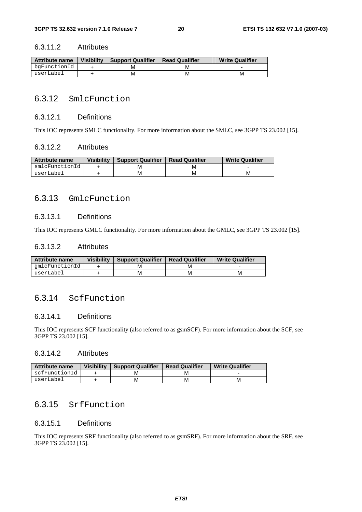### 6.3.11.2 Attributes

| <b>Attribute name</b> | <b>Visibility</b> | Support Qualifier | <b>Read Qualifier</b> | <b>Write Qualifier</b> |
|-----------------------|-------------------|-------------------|-----------------------|------------------------|
| bqFunctionId          |                   | M                 |                       |                        |
| userLabel             |                   | м                 | М                     | M                      |

## 6.3.12 SmlcFunction

### 6.3.12.1 Definitions

This IOC represents SMLC functionality. For more information about the SMLC, see 3GPP TS 23.002 [15].

#### 6.3.12.2 Attributes

| Attribute name | <b>Visibility</b> | <b>Support Qualifier</b> | <b>Read Qualifier</b> | <b>Write Qualifier</b> |
|----------------|-------------------|--------------------------|-----------------------|------------------------|
| smlcFunctionId |                   |                          |                       |                        |
| userLabel      |                   | м                        | M                     | M                      |

## 6.3.13 GmlcFunction

### 6.3.13.1 Definitions

This IOC represents GMLC functionality. For more information about the GMLC, see 3GPP TS 23.002 [15].

### 6.3.13.2 Attributes

| <b>Attribute name</b> | <b>Visibility</b> | <b>Support Qualifier</b> | <b>Read Qualifier</b> | <b>Write Qualifier</b> |
|-----------------------|-------------------|--------------------------|-----------------------|------------------------|
| qmlcFunctionId        |                   |                          |                       |                        |
| userLabel             |                   | М                        | M                     | м                      |

## 6.3.14 ScfFunction

## 6.3.14.1 Definitions

This IOC represents SCF functionality (also referred to as gsmSCF). For more information about the SCF, see 3GPP TS 23.002 [15].

### 6.3.14.2 Attributes

| Attribute name | <b>Visibility</b> | <b>Support Qualifier</b> | <b>Read Qualifier</b> | <b>Write Qualifier</b> |
|----------------|-------------------|--------------------------|-----------------------|------------------------|
| scfFunctionId  |                   |                          | M                     |                        |
| userLabel      |                   | м                        | м                     | м                      |

## 6.3.15 SrfFunction

## 6.3.15.1 Definitions

This IOC represents SRF functionality (also referred to as gsmSRF). For more information about the SRF, see 3GPP TS 23.002 [15].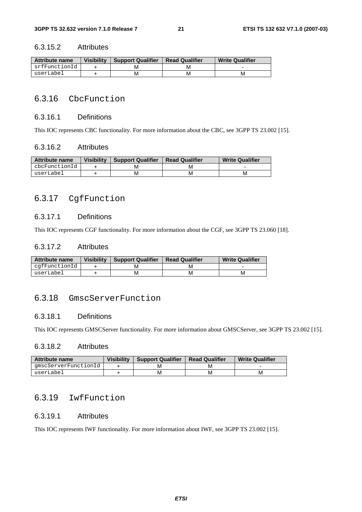### 6.3.15.2 Attributes

| <b>Attribute name</b> | <b>Visibility</b> | <b>Support Qualifier</b> | <b>Read Qualifier</b> | <b>Write Qualifier</b> |
|-----------------------|-------------------|--------------------------|-----------------------|------------------------|
| srfFunctionId         |                   | м                        |                       |                        |
| userLabel             |                   | м                        | M                     | М                      |

## 6.3.16 CbcFunction

### 6.3.16.1 Definitions

This IOC represents CBC functionality. For more information about the CBC, see 3GPP TS 23.002 [15].

#### 6.3.16.2 Attributes

| Attribute name | <b>Visibility</b> | <b>Support Qualifier</b> | <b>Read Qualifier</b> | <b>Write Qualifier</b> |
|----------------|-------------------|--------------------------|-----------------------|------------------------|
| cbcFunctionId  |                   | M                        | М                     |                        |
| userLabel      |                   | M                        | М                     | M                      |

## 6.3.17 CgfFunction

## 6.3.17.1 Definitions

This IOC represents CGF functionality. For more information about the CGF, see 3GPP TS 23.060 [18].

### 6.3.17.2 Attributes

| <b>Attribute name</b> | <b>Visibility</b> | <b>Support Qualifier</b> | <b>Read Qualifier</b> | <b>Write Qualifier</b> |
|-----------------------|-------------------|--------------------------|-----------------------|------------------------|
| cqfFunctionId         |                   |                          |                       |                        |
| userLabel             |                   | M                        | М                     | М                      |

## 6.3.18 GmscServerFunction

## 6.3.18.1 Definitions

This IOC represents GMSCServer functionality. For more information about GMSCServer, see 3GPP TS 23.002 [15].

### 6.3.18.2 Attributes

| <b>Attribute name</b> | Visibility | <b>Support Qualifier</b> | <b>Read Qualifier</b> | <b>Write Qualifier</b> |
|-----------------------|------------|--------------------------|-----------------------|------------------------|
| amscServerFunctionId  |            | M                        | M                     |                        |
| userLabel             |            | M                        | M                     | м                      |

## 6.3.19 IwfFunction

## 6.3.19.1 Attributes

This IOC represents IWF functionality. For more information about IWF, see 3GPP TS 23.002 [15].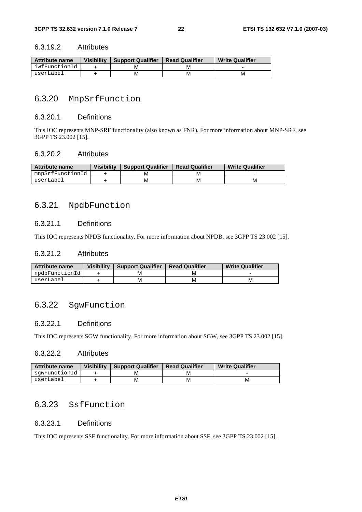#### 6.3.19.2 Attributes

| Attribute name | <b>Visibility</b> | <b>Support Qualifier</b> | <b>Read Qualifier</b> | <b>Write Qualifier</b> |
|----------------|-------------------|--------------------------|-----------------------|------------------------|
| iwfFunctionId  |                   | M                        |                       |                        |
| userLabel      |                   | M                        | M                     | M                      |

## 6.3.20 MnpSrfFunction

## 6.3.20.1 Definitions

This IOC represents MNP-SRF functionality (also known as FNR). For more information about MNP-SRF, see 3GPP TS 23.002 [15].

## 6.3.20.2 Attributes

| <b>Attribute name</b> | <b>Visibility</b> | <b>Support Qualifier</b> | <b>Read Qualifier</b> | <b>Write Qualifier</b> |
|-----------------------|-------------------|--------------------------|-----------------------|------------------------|
| mnpSrfFunctionId      |                   | м                        | м                     |                        |
| userLabel             |                   | м                        | м                     | м                      |

## 6.3.21 NpdbFunction

## 6.3.21.1 Definitions

This IOC represents NPDB functionality. For more information about NPDB, see 3GPP TS 23.002 [15].

### 6.3.21.2 Attributes

| Attribute name | <b>Visibility</b> | <b>Support Qualifier</b> | <b>Read Qualifier</b> | <b>Write Qualifier</b> |
|----------------|-------------------|--------------------------|-----------------------|------------------------|
| npdbFunctionId |                   | M                        | M                     |                        |
| userLabel      |                   | М                        | м                     | M                      |

## 6.3.22 SgwFunction

## 6.3.22.1 Definitions

This IOC represents SGW functionality. For more information about SGW, see 3GPP TS 23.002 [15].

### 6.3.22.2 Attributes

| Attribute name | <b>Visibility</b> | <b>Support Qualifier</b> | <b>Read Qualifier</b> | <b>Write Qualifier</b> |
|----------------|-------------------|--------------------------|-----------------------|------------------------|
| sqwFunctionId  |                   |                          | м                     |                        |
| userLabel      |                   | M                        | М                     | м                      |

## 6.3.23 SsfFunction

## 6.3.23.1 Definitions

This IOC represents SSF functionality. For more information about SSF, see 3GPP TS 23.002 [15].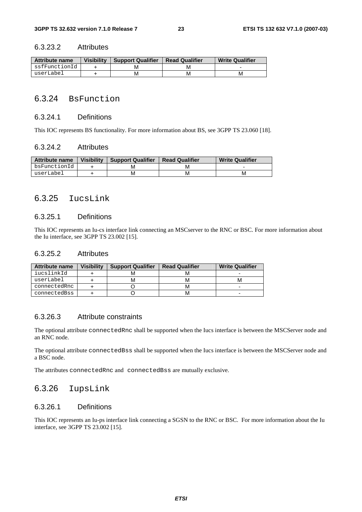#### 6.3.23.2 Attributes

| <b>Attribute name</b> | <b>Visibility</b> | <b>Support Qualifier</b> | <b>Read Qualifier</b> | <b>Write Qualifier</b> |
|-----------------------|-------------------|--------------------------|-----------------------|------------------------|
| ssfFunctionId         |                   | M                        | м                     |                        |
| userLabel             |                   | м                        | М                     | м                      |

## 6.3.24 BsFunction

#### 6.3.24.1 Definitions

This IOC represents BS functionality. For more information about BS, see 3GPP TS 23.060 [18].

#### 6.3.24.2 Attributes

| <b>Attribute name</b> | <b>Visibility</b> | <b>Support Qualifier</b> | <b>Read Qualifier</b> | <b>Write Qualifier</b> |
|-----------------------|-------------------|--------------------------|-----------------------|------------------------|
| bsFunctionId          |                   |                          | M                     |                        |
| userLabel             |                   |                          | м                     | М                      |

## 6.3.25 IucsLink

### 6.3.25.1 Definitions

This IOC represents an Iu-cs interface link connecting an MSCserver to the RNC or BSC. For more information about the Iu interface, see 3GPP TS 23.002 [15].

### 6.3.25.2 Attributes

| Attribute name | <b>Visibility</b> | <b>Support Qualifier</b> | <b>Read Qualifier</b> | <b>Write Qualifier</b> |
|----------------|-------------------|--------------------------|-----------------------|------------------------|
| iucslinkId     |                   | м                        |                       |                        |
| userLabel      |                   | м                        | м                     |                        |
| connectedRnc   |                   |                          | м                     |                        |
| connectedBss   |                   |                          | м                     |                        |

## 6.3.26.3 Attribute constraints

The optional attribute connectedRnc shall be supported when the Iucs interface is between the MSCServer node and an RNC node.

The optional attribute connectedBss shall be supported when the Iucs interface is between the MSCServer node and a BSC node.

The attributes connectedRnc and connectedBss are mutually exclusive.

## 6.3.26 IupsLink

## 6.3.26.1 Definitions

This IOC represents an Iu-ps interface link connecting a SGSN to the RNC or BSC. For more information about the Iu interface, see 3GPP TS 23.002 [15].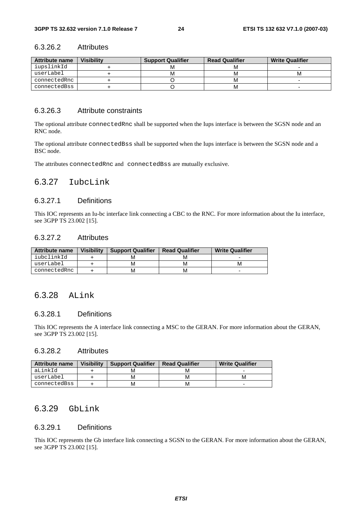### 6.3.26.2 Attributes

| Attribute name | <b>Visibility</b> | <b>Support Qualifier</b> | <b>Read Qualifier</b> | <b>Write Qualifier</b> |
|----------------|-------------------|--------------------------|-----------------------|------------------------|
| iupslinkId     |                   |                          |                       |                        |
| userLabel      |                   |                          |                       |                        |
| connectedRnc   |                   |                          |                       |                        |
| connectedBss   |                   |                          |                       |                        |

## 6.3.26.3 Attribute constraints

The optional attribute connectedRnc shall be supported when the Iups interface is between the SGSN node and an RNC node.

The optional attribute connectedBss shall be supported when the Iups interface is between the SGSN node and a BSC node.

The attributes connectedRnc and connectedBss are mutually exclusive.

## 6.3.27 IubcLink

#### 6.3.27.1 Definitions

This IOC represents an Iu-bc interface link connecting a CBC to the RNC. For more information about the Iu interface, see 3GPP TS 23.002 [15].

## 6.3.27.2 Attributes

| Attribute name | <b>Visibility</b> | <b>Support Qualifier</b> | <b>Read Qualifier</b> | <b>Write Qualifier</b> |
|----------------|-------------------|--------------------------|-----------------------|------------------------|
| iubclinkId     |                   |                          | M                     |                        |
| userLabel      |                   | М                        | м                     | м                      |
| connectedRnc   |                   | м                        | м                     | -                      |

## 6.3.28 ALink

#### 6.3.28.1 Definitions

This IOC represents the A interface link connecting a MSC to the GERAN. For more information about the GERAN, see 3GPP TS 23.002 [15].

#### 6.3.28.2 Attributes

| Attribute name | <b>Visibility</b> | <b>Support Qualifier</b> | <b>Read Qualifier</b> | <b>Write Qualifier</b> |
|----------------|-------------------|--------------------------|-----------------------|------------------------|
| aLinkId        |                   | M                        | M                     |                        |
| userLabel      |                   | м                        | М                     | м                      |
| connectedBss   |                   | м                        | М                     | -                      |

## 6.3.29 GbLink

#### 6.3.29.1 Definitions

This IOC represents the Gb interface link connecting a SGSN to the GERAN. For more information about the GERAN, see 3GPP TS 23.002 [15].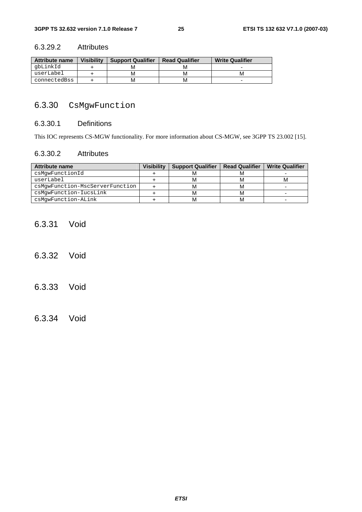## 6.3.29.2 Attributes

| <b>Attribute name</b> | <b>Visibility</b> | <b>Support Qualifier</b> | <b>Read Qualifier</b> | <b>Write Qualifier</b> |
|-----------------------|-------------------|--------------------------|-----------------------|------------------------|
| abLinkId              |                   | М                        | м                     |                        |
| userLabel             |                   | м                        | м                     |                        |
| connectedBss          |                   | м                        | м                     | -                      |

## 6.3.30 CsMgwFunction

#### 6.3.30.1 Definitions

This IOC represents CS-MGW functionality. For more information about CS-MGW, see 3GPP TS 23.002 [15].

## 6.3.30.2 Attributes

| <b>Attribute name</b>           | <b>Visibility</b> | <b>Support Qualifier</b> | <b>Read Qualifier</b> | <b>Write Qualifier</b> |
|---------------------------------|-------------------|--------------------------|-----------------------|------------------------|
| csMqwFunctionId                 |                   |                          |                       |                        |
| userLabel                       |                   | M                        | M                     | м                      |
| csMqwFunction-MscServerFunction |                   | Iνı                      | M                     |                        |
| csMqwFunction-IucsLink          |                   |                          | M                     |                        |
| csMqwFunction-ALink             |                   | м                        | M                     | -                      |

## 6.3.31 Void

- 6.3.32 Void
- 6.3.33 Void
- 6.3.34 Void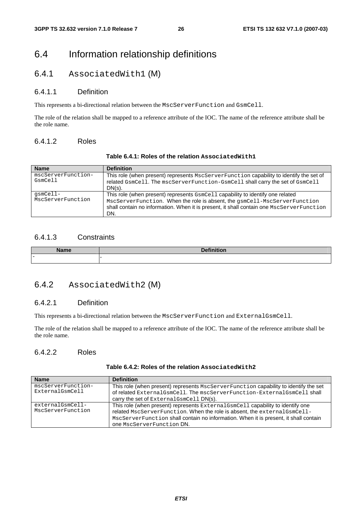## 6.4 Information relationship definitions

## 6.4.1 AssociatedWith1 (M)

## 6.4.1.1 Definition

This represents a bi-directional relation between the MscServerFunction and GsmCell.

The role of the relation shall be mapped to a reference attribute of the IOC. The name of the reference attribute shall be the role name.

## 6.4.1.2 Roles

| <b>Name</b>                   | <b>Definition</b>                                                                                                                                                                                                                                                |
|-------------------------------|------------------------------------------------------------------------------------------------------------------------------------------------------------------------------------------------------------------------------------------------------------------|
| mscServerFunction-<br>GsmCell | This role (when present) represents MscServerFunction capability to identify the set of<br>related GsmCell. The mscServerFunction-GsmCell shall carry the set of GsmCell<br>$DN(s)$ .                                                                            |
| qsmCell-<br>MscServerFunction | This role (when present) represents $GsmCell$ capability to identify one related<br>MscServerFunction. When the role is absent, the qsmCell-MscServerFunction<br>shall contain no information. When it is present, it shall contain one MscServerFunction<br>DN. |

## **Table 6.4.1: Roles of the relation AssociatedWith1**

## 6.4.1.3 Constraints

| - ---                    |  |
|--------------------------|--|
| $\overline{\phantom{0}}$ |  |

## 6.4.2 AssociatedWith2 (M)

## 6.4.2.1 Definition

This represents a bi-directional relation between the MscServerFunction and ExternalGsmCell.

The role of the relation shall be mapped to a reference attribute of the IOC. The name of the reference attribute shall be the role name.

## 6.4.2.2 Roles

| Table 6.4.2: Roles of the relation Associated With2 |  |
|-----------------------------------------------------|--|
|-----------------------------------------------------|--|

| <b>Name</b>                           | <b>Definition</b>                                                                                                                                                                                                                                                                 |
|---------------------------------------|-----------------------------------------------------------------------------------------------------------------------------------------------------------------------------------------------------------------------------------------------------------------------------------|
| mscServerFunction-<br>ExternalGsmCell | This role (when present) represents MscServerFunction capability to identify the set<br>of related ExternalGsmCell. The mscServerFunction-ExternalGsmCell shall<br>carry the set of External GsmCell DN(s).                                                                       |
| externalGsmCell-<br>MscServerFunction | This role (when present) represents External GsmCell capability to identify one<br>related MscServerFunction. When the role is absent, the external GsmCell-<br>MscServerFunction shall contain no information. When it is present, it shall contain<br>one MscServerFunction DN. |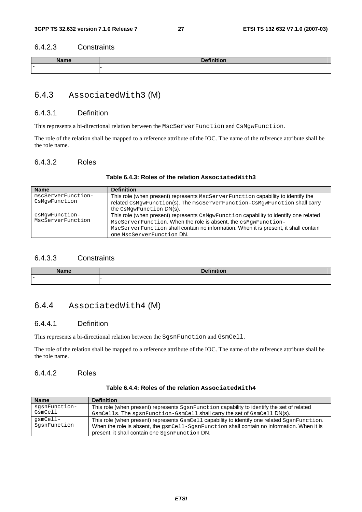## 6.4.2.3 Constraints

| $\overline{\phantom{0}}$ |  |
|--------------------------|--|

## 6.4.3 AssociatedWith3 (M)

## 6.4.3.1 Definition

This represents a bi-directional relation between the MscServerFunction and CsMgwFunction.

The role of the relation shall be mapped to a reference attribute of the IOC. The name of the reference attribute shall be the role name.

## 6.4.3.2 Roles

| <b>Name</b>                         | <b>Definition</b>                                                                                                                                                                                                                                                                  |
|-------------------------------------|------------------------------------------------------------------------------------------------------------------------------------------------------------------------------------------------------------------------------------------------------------------------------------|
| mscServerFunction-<br>CsMqwFunction | This role (when present) represents MscServerFunction capability to identify the<br>related CsMqwFunction(s). The mscServerFunction-CsMqwFunction shall carry                                                                                                                      |
|                                     | the CsMqwFunction DN(s).                                                                                                                                                                                                                                                           |
| csMqwFunction-<br>MscServerFunction | This role (when present) represents CsMgwFunction capability to identify one related<br>MscServerFunction. When the role is absent, the csMqwFunction-<br>MscServerFunction shall contain no information. When it is present, it shall contain<br><b>ONE MscServerFunction DN.</b> |

## 6.4.3.3 Constraints

| <b>Name</b><br>манне | <b>Definition</b><br>IIIIUUII<br>--- |
|----------------------|--------------------------------------|
| $\equiv$             |                                      |

## 6.4.4 AssociatedWith4 (M)

## 6.4.4.1 Definition

This represents a bi-directional relation between the SgsnFunction and GsmCell.

The role of the relation shall be mapped to a reference attribute of the IOC. The name of the reference attribute shall be the role name.

### 6.4.4.2 Roles

| <b>Name</b>              | <b>Definition</b>                                                                                                                                                                                                                              |
|--------------------------|------------------------------------------------------------------------------------------------------------------------------------------------------------------------------------------------------------------------------------------------|
| sqsnFunction-<br>GsmCell | This role (when present) represents SgsnFunction capability to identify the set of related<br>GsmCells. The sqsnFunction-GsmCell shall carry the set of GsmCell DN(s).                                                                         |
| qsmCell-<br>SgsnFunction | This role (when present) represents GsmCell capability to identify one related SgsnFunction.<br>When the role is absent, the $qsmCell-SqsnFunction$ shall contain no information. When it is<br>present, it shall contain one SqsnFunction DN. |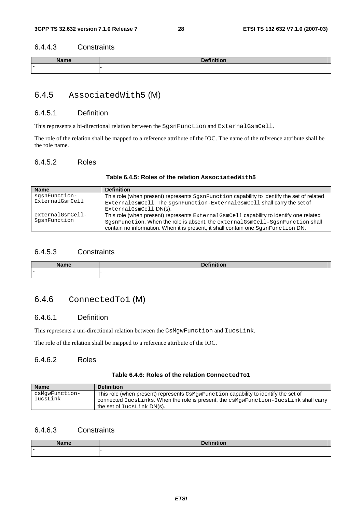## 6.4.4.3 Constraints

| $\overline{\phantom{0}}$ |  |
|--------------------------|--|

## 6.4.5 AssociatedWith5 (M)

#### 6.4.5.1 Definition

This represents a bi-directional relation between the SgsnFunction and ExternalGsmCell.

The role of the relation shall be mapped to a reference attribute of the IOC. The name of the reference attribute shall be the role name.

## 6.4.5.2 Roles

## **Table 6.4.5: Roles of the relation AssociatedWith5**

| <b>Name</b>      | <b>Definition</b>                                                                          |
|------------------|--------------------------------------------------------------------------------------------|
| sqsnFunction-    | This role (when present) represents SgsnFunction capability to identify the set of related |
| ExternalGsmCell  | ExternalGsmCell. The sgsnFunction-ExternalGsmCell shall carry the set of                   |
|                  | ExternalGsmCell DN(s).                                                                     |
| externalGsmCell- | This role (when present) represents ExternalGsmCell capability to identify one related     |
| SqsnFunction     | SgsnFunction. When the role is absent, the externalGsmCell-SgsnFunction shall              |
|                  | contain no information. When it is present, it shall contain one SqsnFunction DN.          |

## 6.4.5.3 Constraints

|                          | _ |
|--------------------------|---|
| $\overline{\phantom{0}}$ |   |

## 6.4.6 ConnectedTo1 (M)

## 6.4.6.1 Definition

This represents a uni-directional relation between the CsMgwFunction and IucsLink.

The role of the relation shall be mapped to a reference attribute of the IOC.

## 6.4.6.2 Roles

### **Table 6.4.6: Roles of the relation ConnectedTo1**

| <b>Name</b>                | <b>Definition</b>                                                                                                                                                                                             |
|----------------------------|---------------------------------------------------------------------------------------------------------------------------------------------------------------------------------------------------------------|
| csMqwFunction-<br>IucsLink | This role (when present) represents CsMqwFunction capability to identify the set of<br>connected IucsLinks. When the role is present, the csMgwFunction-IucsLink shall carry<br>the set of $Iucslink DN(s)$ . |

## 6.4.6.3 Constraints

| <b>Name</b>  | $D = 0.11$<br>7 I I<br>. |
|--------------|--------------------------|
| . <u>. .</u> |                          |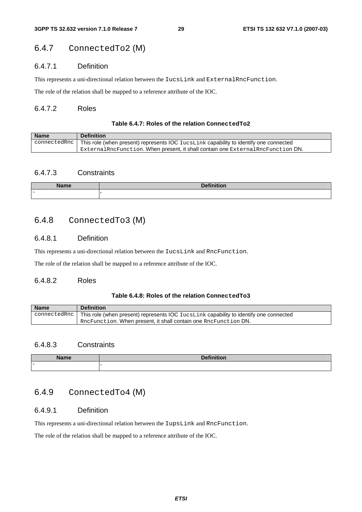## 6.4.7 ConnectedTo2 (M)

## 6.4.7.1 Definition

This represents a uni-directional relation between the IucsLink and ExternalRncFunction.

The role of the relation shall be mapped to a reference attribute of the IOC.

### 6.4.7.2 Roles

### **Table 6.4.7: Roles of the relation ConnectedTo2**

| <b>Name</b> | <b>Definition</b>                                                                                           |
|-------------|-------------------------------------------------------------------------------------------------------------|
|             | $\Box$ connectedRnc   This role (when present) represents IOC IucsLink capability to identify one connected |
|             | $ExternalRncFunction$ . When present, it shall contain one $ExternalRncFunction$ DN.                        |

## 6.4.7.3 Constraints

| $N = -1$                 |  |
|--------------------------|--|
| $\overline{\phantom{0}}$ |  |

## 6.4.8 ConnectedTo3 (M)

## 6.4.8.1 Definition

This represents a uni-directional relation between the IucsLink and RncFunction.

The role of the relation shall be mapped to a reference attribute of the IOC.

## 6.4.8.2 Roles

#### **Table 6.4.8: Roles of the relation ConnectedTo3**

| <b>Name</b> | <b>Definition</b>                                                                                           |
|-------------|-------------------------------------------------------------------------------------------------------------|
|             | connected Rnc $\vert$ This role (when present) represents IOC IucsLink capability to identify one connected |
|             | RncFunction. When present, it shall contain one RncFunction DN.                                             |

## 6.4.8.3 Constraints

| $11 - 12$                | $\sim$ $\sim$ |
|--------------------------|---------------|
| me                       | --            |
| $\overline{\phantom{0}}$ | . .           |

## 6.4.9 ConnectedTo4 (M)

## 6.4.9.1 Definition

This represents a uni-directional relation between the IupsLink and RncFunction.

The role of the relation shall be mapped to a reference attribute of the IOC.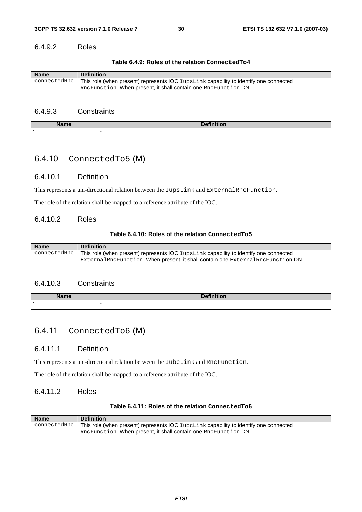## 6.4.9.2 Roles

**Table 6.4.9: Roles of the relation ConnectedTo4**

| <b>Name</b> | <b>Definition</b>                                                                                           |
|-------------|-------------------------------------------------------------------------------------------------------------|
|             | connected Rnc $\vert$ This role (when present) represents IOC IupsLink capability to identify one connected |
|             | RncFunction. When present, it shall contain one RncFunction DN.                                             |

## 6.4.9.3 Constraints

| ъħ.<br><b>The Second Contract of the Second Contract</b><br>ıe | ______ |
|----------------------------------------------------------------|--------|
| $\overline{\phantom{0}}$                                       |        |

## 6.4.10 ConnectedTo5 (M)

## 6.4.10.1 Definition

This represents a uni-directional relation between the IupsLink and ExternalRncFunction.

The role of the relation shall be mapped to a reference attribute of the IOC.

### 6.4.10.2 Roles

#### **Table 6.4.10: Roles of the relation ConnectedTo5**

| <b>Name</b> | <b>Definition</b>                                                                                                 |
|-------------|-------------------------------------------------------------------------------------------------------------------|
|             | connected Rnc   This role (when present) represents $\overline{OC}$ IupsLink capability to identify one connected |
|             | $\mathbb E$ xternalRncFunction. When present it shall contain one $\mathbb E$ xternalRncFunction DN.              |

## 6.4.10.3 Constraints

| .                        |  |
|--------------------------|--|
| $\overline{\phantom{0}}$ |  |

## 6.4.11 ConnectedTo6 (M)

#### 6.4.11.1 Definition

This represents a uni-directional relation between the IubcLink and RncFunction.

The role of the relation shall be mapped to a reference attribute of the IOC.

#### 6.4.11.2 Roles

#### **Table 6.4.11: Roles of the relation ConnectedTo6**

| <b>Name</b> | <b>Definition</b>                                                                                              |
|-------------|----------------------------------------------------------------------------------------------------------------|
|             | $\alpha$ connected Rnc   This role (when present) represents IOC IubcLink capability to identify one connected |
|             | $^{\prime}$ RncFunction. When present, it shall contain one RncFunction DN.                                    |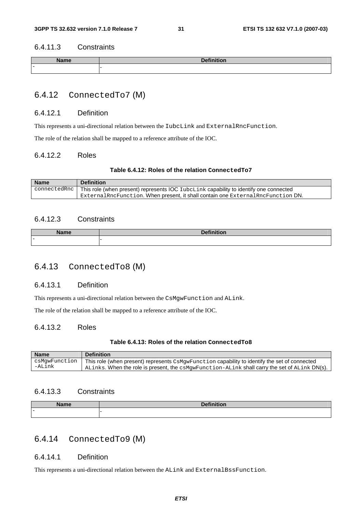### 6.4.11.3 Constraints

| <b>Alexandr</b>          | . |
|--------------------------|---|
| $\overline{\phantom{0}}$ |   |

## 6.4.12 ConnectedTo7 (M)

#### 6.4.12.1 Definition

This represents a uni-directional relation between the IubcLink and ExternalRncFunction.

The role of the relation shall be mapped to a reference attribute of the IOC.

## 6.4.12.2 Roles

#### **Table 6.4.12: Roles of the relation ConnectedTo7**

| <b>Name</b> | <b>Definition</b>                                                                                           |
|-------------|-------------------------------------------------------------------------------------------------------------|
|             | connected Rnc $\vert$ This role (when present) represents IOC IubcLink capability to identify one connected |
|             | External RncFunction. When present, it shall contain one External RncFunction DN.                           |

#### 6.4.12.3 Constraints

| \l – ⊷                   | . |
|--------------------------|---|
| $\overline{\phantom{0}}$ |   |

## 6.4.13 ConnectedTo8 (M)

#### 6.4.13.1 Definition

This represents a uni-directional relation between the CsMgwFunction and ALink.

The role of the relation shall be mapped to a reference attribute of the IOC.

## 6.4.13.2 Roles

#### **Table 6.4.13: Roles of the relation ConnectedTo8**

| <b>Name</b>             | <b>Definition</b>                                                                                  |
|-------------------------|----------------------------------------------------------------------------------------------------|
| csMqwFunction<br>-ALink | This role (when present) represents CsMgwFunction capability to identify the set of connected      |
|                         | . ALinks. When the role is present, the $c$ sMqwFunction-ALink shall carry the set of ALink DN(s). |

#### 6.4.13.3 Constraints

| <b>Name</b>              | <b>Definition</b> |
|--------------------------|-------------------|
| $\overline{\phantom{0}}$ |                   |

## 6.4.14 ConnectedTo9 (M)

## 6.4.14.1 Definition

This represents a uni-directional relation between the ALink and ExternalBssFunction.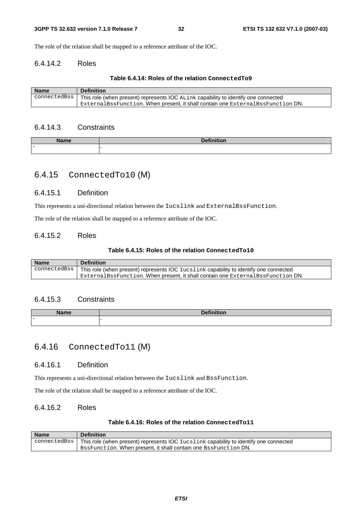The role of the relation shall be mapped to a reference attribute of the IOC.

## 6.4.14.2 Roles

#### **Table 6.4.14: Roles of the relation ConnectedTo9**

| <b>Name</b> | <b>Definition</b>                                                                                                   |
|-------------|---------------------------------------------------------------------------------------------------------------------|
|             | $\alpha$ connected Bss   This role (when present) represents IOC $\alpha$ Link capability to identify one connected |
|             | ExternalBssFunction. When present, it shall contain one ExternalBssFunction DN.                                     |

## 6.4.14.3 Constraints

| Name                     | <b>Definiti</b> |
|--------------------------|-----------------|
| une                      | --              |
| $\overline{\phantom{0}}$ |                 |

## 6.4.15 ConnectedTo10 (M)

#### 6.4.15.1 Definition

This represents a uni-directional relation between the Iucslink and ExternalBssFunction.

The role of the relation shall be mapped to a reference attribute of the IOC.

#### 6.4.15.2 Roles

#### **Table 6.4.15: Roles of the relation ConnectedTo10**

| <b>Name</b> | <b>Definition</b>                                                                                    |
|-------------|------------------------------------------------------------------------------------------------------|
|             | connectedBss   This role (when present) represents IOC Iucslink capability to identify one connected |
|             | $_1$ ExternalBssFunction. When present, it shall contain one ExternalBssFunction DN.                 |

### 6.4.15.3 Constraints

| <b>Names</b> | $P = 0.0000$ |
|--------------|--------------|
| анне         | .            |
| -            |              |

## 6.4.16 ConnectedTo11 (M)

### 6.4.16.1 Definition

This represents a uni-directional relation between the Iucslink and BssFunction.

The role of the relation shall be mapped to a reference attribute of the IOC.

## 6.4.16.2 Roles

## **Table 6.4.16: Roles of the relation ConnectedTo11**

| <b>Name</b> | <b>Definition</b>                                                                                    |
|-------------|------------------------------------------------------------------------------------------------------|
|             | connectedBss   This role (when present) represents IOC Iucslink capability to identify one connected |
|             | BesFunction. When present, it shall contain one BesFunction DN.                                      |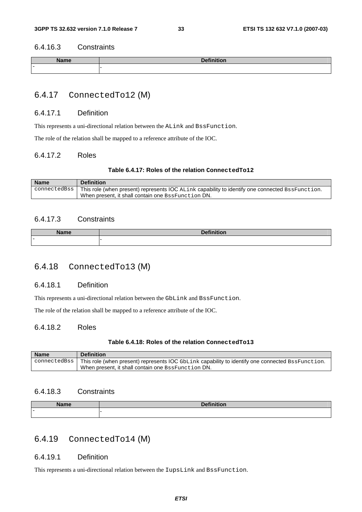#### 6.4.16.3 Constraints

| ND.                      |  |
|--------------------------|--|
| $\overline{\phantom{0}}$ |  |

## 6.4.17 ConnectedTo12 (M)

#### 6.4.17.1 Definition

This represents a uni-directional relation between the ALink and BssFunction.

The role of the relation shall be mapped to a reference attribute of the IOC.

### 6.4.17.2 Roles

#### **Table 6.4.17: Roles of the relation ConnectedTo12**

| <b>Name</b> | <b>Definition</b>                                                                                                                |
|-------------|----------------------------------------------------------------------------------------------------------------------------------|
|             | $\alpha$ connected Bss   This role (when present) represents IOC $\alpha$ Link capability to identify one connected BssFunction. |
|             | When present, it shall contain one BssFunction DN.                                                                               |

## 6.4.17.3 Constraints

| .                        |  |
|--------------------------|--|
| $\overline{\phantom{0}}$ |  |

## 6.4.18 ConnectedTo13 (M)

#### 6.4.18.1 Definition

This represents a uni-directional relation between the GbLink and BssFunction.

The role of the relation shall be mapped to a reference attribute of the IOC.

## 6.4.18.2 Roles

#### **Table 6.4.18: Roles of the relation ConnectedTo13**

| <b>Name</b>      | <b>Definition</b>                                                                                |
|------------------|--------------------------------------------------------------------------------------------------|
| connectedBss   1 | This role (when present) represents IOC GbLink capability to identify one connected BssFunction. |
|                  | When present, it shall contain one BssFunction DN.                                               |

#### 6.4.18.3 Constraints

| <b>Name</b><br>____      | $R = 11$<br><b>THE R. P.</b><br>__ |
|--------------------------|------------------------------------|
| $\overline{\phantom{0}}$ |                                    |

## 6.4.19 ConnectedTo14 (M)

## 6.4.19.1 Definition

This represents a uni-directional relation between the IupsLink and BssFunction.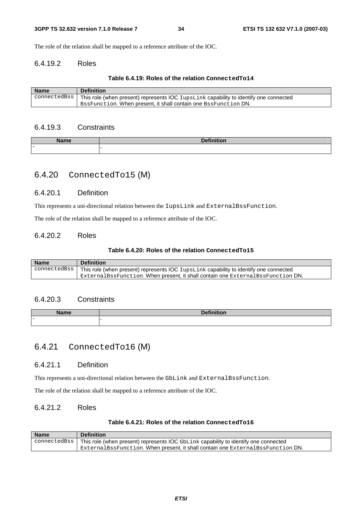The role of the relation shall be mapped to a reference attribute of the IOC.

## 6.4.19.2 Roles

#### **Table 6.4.19: Roles of the relation ConnectedTo14**

| <b>Name</b> | <b>Definition</b>                                                                                      |
|-------------|--------------------------------------------------------------------------------------------------------|
|             | connectedBss   This role (when present) represents IOC $Iupslink$ capability to identify one connected |
|             | BssFunction, When present, it shall contain one BssFunction DN.                                        |

## 6.4.19.3 Constraints

| <b>Nome</b> | <b>Dafinition</b> |
|-------------|-------------------|
| мине        |                   |
| -           |                   |

## 6.4.20 ConnectedTo15 (M)

#### 6.4.20.1 Definition

This represents a uni-directional relation between the IupsLink and ExternalBssFunction.

The role of the relation shall be mapped to a reference attribute of the IOC.

#### 6.4.20.2 Roles

#### **Table 6.4.20: Roles of the relation ConnectedTo15**

| <b>Name</b> | <b>Definition</b>                                                                                               |
|-------------|-----------------------------------------------------------------------------------------------------------------|
|             | $\alpha$ connected Bss   This role (when present) represents IOC Iups Link capability to identify one connected |
|             | ExternalBssFunction. When present it shall contain one ExternalBssFunction DN.                                  |

#### 6.4.20.3 Constraints

| Nome | $D = 4! \times 14!$ |
|------|---------------------|
| name | --                  |
| -    |                     |

## 6.4.21 ConnectedTo16 (M)

### 6.4.21.1 Definition

This represents a uni-directional relation between the GbLink and ExternalBssFunction.

The role of the relation shall be mapped to a reference attribute of the IOC.

## 6.4.21.2 Roles

## **Table 6.4.21: Roles of the relation ConnectedTo16**

| <b>Name</b>  | <b>Definition</b>                                                                   |
|--------------|-------------------------------------------------------------------------------------|
| connectedBss | This role (when present) represents IOC GbLink capability to identify one connected |
|              | ExternalBssFunction. When present it shall contain one ExternalBssFunction DN.      |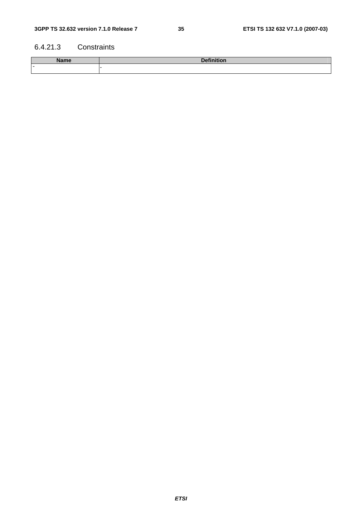## 6.4.21.3 Constraints

| <b>Name</b> | Dofinition<br>אוטוי<br>--- |  |
|-------------|----------------------------|--|
| $\equiv$    |                            |  |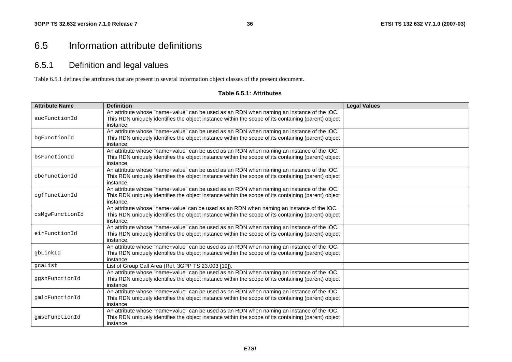## 6.5 Information attribute definitions

## 6.5.1 Definition and legal values

Table 6.5.1 defines the attributes that are present in several information object classes of the present document.

#### **Table 6.5.1: Attributes**

| <b>Attribute Name</b> | <b>Definition</b>                                                                                                                                                                                             | <b>Legal Values</b> |  |  |  |  |
|-----------------------|---------------------------------------------------------------------------------------------------------------------------------------------------------------------------------------------------------------|---------------------|--|--|--|--|
| aucFunctionId         | An attribute whose "name+value" can be used as an RDN when naming an instance of the IOC.<br>This RDN uniquely identifies the object instance within the scope of its containing (parent) object<br>instance. |                     |  |  |  |  |
| bqFunctionId          | An attribute whose "name+value" can be used as an RDN when naming an instance of the IOC.<br>This RDN uniquely identifies the object instance within the scope of its containing (parent) object<br>instance. |                     |  |  |  |  |
| bsFunctionId          | An attribute whose "name+value" can be used as an RDN when naming an instance of the IOC.<br>This RDN uniquely identifies the object instance within the scope of its containing (parent) object<br>instance. |                     |  |  |  |  |
| cbcFunctionId         | An attribute whose "name+value" can be used as an RDN when naming an instance of the IOC.<br>This RDN uniquely identifies the object instance within the scope of its containing (parent) object<br>instance. |                     |  |  |  |  |
| cqfFunctionId         | An attribute whose "name+value" can be used as an RDN when naming an instance of the IOC.<br>This RDN uniquely identifies the object instance within the scope of its containing (parent) object<br>instance. |                     |  |  |  |  |
| csMqwFunctionId       | An attribute whose "name+value' can be used as an RDN when naming an instance of the IOC.<br>This RDN uniquely identifies the object instance within the scope of its containing (parent) object<br>instance. |                     |  |  |  |  |
| eirFunctionId         |                                                                                                                                                                                                               |                     |  |  |  |  |
| qbLinkId              |                                                                                                                                                                                                               |                     |  |  |  |  |
| gcaList               |                                                                                                                                                                                                               |                     |  |  |  |  |
| qqsnFunctionId        |                                                                                                                                                                                                               |                     |  |  |  |  |
| qmlcFunctionId        | An attribute whose "name+value" can be used as an RDN when naming an instance of the IOC.<br>This RDN uniquely identifies the object instance within the scope of its containing (parent) object<br>instance. |                     |  |  |  |  |
| qmscFunctionId        | An attribute whose "name+value" can be used as an RDN when naming an instance of the IOC.<br>This RDN uniquely identifies the object instance within the scope of its containing (parent) object<br>instance. |                     |  |  |  |  |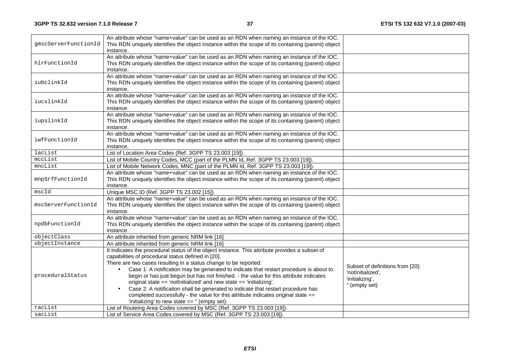|                      | An attribute whose "name+value" can be used as an RDN when naming an instance of the IOC.                                                                                                        |                                  |  |  |  |  |
|----------------------|--------------------------------------------------------------------------------------------------------------------------------------------------------------------------------------------------|----------------------------------|--|--|--|--|
| qmscServerFunctionId | This RDN uniquely identifies the object instance within the scope of its containing (parent) object                                                                                              |                                  |  |  |  |  |
|                      | instance.                                                                                                                                                                                        |                                  |  |  |  |  |
| hlrFunctionId        | An attribute whose "name+value" can be used as an RDN when naming an instance of the IOC.<br>This RDN uniquely identifies the object instance within the scope of its containing (parent) object |                                  |  |  |  |  |
|                      | instance.                                                                                                                                                                                        |                                  |  |  |  |  |
|                      | An attribute whose "name+value" can be used as an RDN when naming an instance of the IOC.                                                                                                        |                                  |  |  |  |  |
| iubclinkId           | This RDN uniquely identifies the object instance within the scope of its containing (parent) object                                                                                              |                                  |  |  |  |  |
|                      | instance.                                                                                                                                                                                        |                                  |  |  |  |  |
|                      | An attribute whose "name+value" can be used as an RDN when naming an instance of the IOC.                                                                                                        |                                  |  |  |  |  |
| iucslinkId           | This RDN uniquely identifies the object instance within the scope of its containing (parent) object                                                                                              |                                  |  |  |  |  |
|                      | instance.                                                                                                                                                                                        |                                  |  |  |  |  |
|                      | An attribute whose "name+value" can be used as an RDN when naming an instance of the IOC.                                                                                                        |                                  |  |  |  |  |
| iupslinkId           | This RDN uniquely identifies the object instance within the scope of its containing (parent) object                                                                                              |                                  |  |  |  |  |
|                      | instance.                                                                                                                                                                                        |                                  |  |  |  |  |
|                      | An attribute whose "name+value" can be used as an RDN when naming an instance of the IOC.                                                                                                        |                                  |  |  |  |  |
| iwfFunctionId        | This RDN uniquely identifies the object instance within the scope of its containing (parent) object                                                                                              |                                  |  |  |  |  |
|                      | instance.                                                                                                                                                                                        |                                  |  |  |  |  |
| lacList              | List of Location Area Codes (Ref. 3GPP TS 23.003 [19]).                                                                                                                                          |                                  |  |  |  |  |
| mccList              | List of Mobile Country Codes, MCC (part of the PLMN Id, Ref. 3GPP TS 23.003 [19]).                                                                                                               |                                  |  |  |  |  |
| mncList              | List of Mobile Network Codes, MNC (part of the PLMN Id, Ref. 3GPP TS 23.003 [19]).                                                                                                               |                                  |  |  |  |  |
|                      | An attribute whose "name+value" can be used as an RDN when naming an instance of the IOC.                                                                                                        |                                  |  |  |  |  |
| mnpSrfFunctionId     | This RDN uniquely identifies the object instance within the scope of its containing (parent) object                                                                                              |                                  |  |  |  |  |
|                      | instance.                                                                                                                                                                                        |                                  |  |  |  |  |
| mscId                | Unique MSC ID (Ref. 3GPP TS 23.002 [15]).                                                                                                                                                        |                                  |  |  |  |  |
|                      | An attribute whose "name+value" can be used as an RDN when naming an instance of the IOC.                                                                                                        |                                  |  |  |  |  |
| mscServerFunctionId  | This RDN uniquely identifies the object instance within the scope of its containing (parent) object                                                                                              |                                  |  |  |  |  |
|                      | instance.<br>An attribute whose "name+value" can be used as an RDN when naming an instance of the IOC.                                                                                           |                                  |  |  |  |  |
| npdbFunctionId       | This RDN uniquely identifies the object instance within the scope of its containing (parent) object                                                                                              |                                  |  |  |  |  |
|                      | instance.                                                                                                                                                                                        |                                  |  |  |  |  |
| objectClass          | An attribute inherited from generic NRM link [16]                                                                                                                                                |                                  |  |  |  |  |
| objectInstance       | An attribute inherited from generic NRM link [16]                                                                                                                                                |                                  |  |  |  |  |
|                      | It indicates the procedural status of the object instance. This attribute provides a subset of                                                                                                   |                                  |  |  |  |  |
|                      | capabilities of procedural status defined in [20].                                                                                                                                               |                                  |  |  |  |  |
| proceduralStatus     | There are two cases resulting in a status change to be reported:                                                                                                                                 |                                  |  |  |  |  |
|                      | Case 1: A notification may be generated to indicate that restart procedure is about to<br>$\bullet$                                                                                              | Subset of definitions from [20]: |  |  |  |  |
|                      | begin or has just begun but has not finished. - the value for this attribute indicates                                                                                                           | 'notInitialized',                |  |  |  |  |
|                      | original state $==$ 'notinitialized' and new state $==$ 'initializing'.                                                                                                                          | 'initializing',                  |  |  |  |  |
|                      | Case 2: A notification shall be generated to indicate that restart procedure has                                                                                                                 | " (empty set)                    |  |  |  |  |
|                      | completed successfully - the value for this attribute indicates original state ==                                                                                                                |                                  |  |  |  |  |
|                      | 'initializing' to new state == " (empty set).                                                                                                                                                    |                                  |  |  |  |  |
| racList              | List of Routeing Area Codes covered by MSC (Ref. 3GPP TS 23.003 [19]).                                                                                                                           |                                  |  |  |  |  |
| sacList              | List of Service Area Codes covered by MSC (Ref. 3GPP TS 23.003 [19]).                                                                                                                            |                                  |  |  |  |  |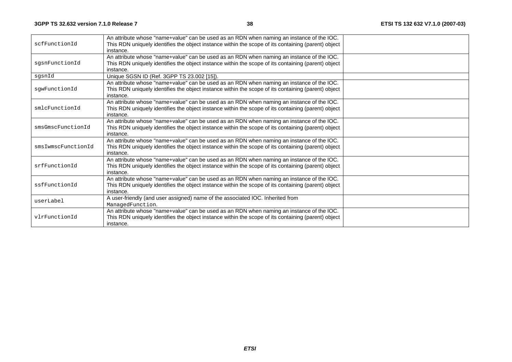| scfFunctionId      |                                                                                                                  |  |
|--------------------|------------------------------------------------------------------------------------------------------------------|--|
|                    | instance.<br>An attribute whose "name+value" can be used as an RDN when naming an instance of the IOC.           |  |
| sqsnFunctionId     | This RDN uniquely identifies the object instance within the scope of its containing (parent) object              |  |
|                    | instance.                                                                                                        |  |
| sqsnId             | Unique SGSN ID (Ref. 3GPP TS 23.002 [15]).                                                                       |  |
|                    |                                                                                                                  |  |
|                    | An attribute whose "name+value" can be used as an RDN when naming an instance of the IOC.                        |  |
| sqwFunctionId      | This RDN uniquely identifies the object instance within the scope of its containing (parent) object<br>instance. |  |
|                    | An attribute whose "name+value" can be used as an RDN when naming an instance of the IOC.                        |  |
| smlcFunctionId     | This RDN uniquely identifies the object instance within the scope of its containing (parent) object              |  |
|                    | instance.                                                                                                        |  |
|                    | An attribute whose "name+value" can be used as an RDN when naming an instance of the IOC.                        |  |
| smsGmscFunctionId  | This RDN uniquely identifies the object instance within the scope of its containing (parent) object              |  |
|                    | instance.                                                                                                        |  |
|                    | An attribute whose "name+value" can be used as an RDN when naming an instance of the IOC.                        |  |
| smsIwmscFunctionId | This RDN uniquely identifies the object instance within the scope of its containing (parent) object              |  |
|                    | instance.                                                                                                        |  |
|                    | An attribute whose "name+value" can be used as an RDN when naming an instance of the IOC.                        |  |
| srfFunctionId      | This RDN uniquely identifies the object instance within the scope of its containing (parent) object              |  |
|                    | instance.                                                                                                        |  |
|                    | An attribute whose "name+value" can be used as an RDN when naming an instance of the IOC.                        |  |
| ssfFunctionId      | This RDN uniquely identifies the object instance within the scope of its containing (parent) object              |  |
|                    | instance.                                                                                                        |  |
| userLabel          | A user-friendly (and user assigned) name of the associated IOC. Inherited from                                   |  |
|                    | ManagedFunction.                                                                                                 |  |
|                    | An attribute whose "name+value" can be used as an RDN when naming an instance of the IOC.                        |  |
| vlrFunctionId      | This RDN uniquely identifies the object instance within the scope of its containing (parent) object              |  |
|                    | instance.                                                                                                        |  |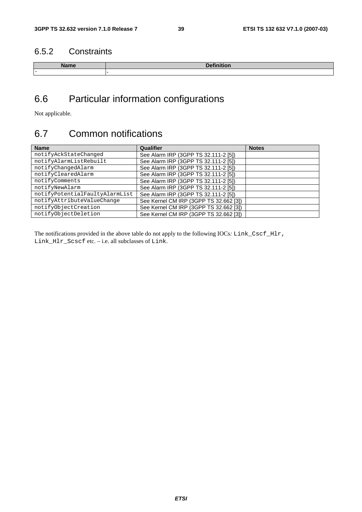## 6.5.2 Constraints

| .   |  |
|-----|--|
| $-$ |  |

## 6.6 Particular information configurations

Not applicable.

## 6.7 Common notifications

| <b>Name</b>                    | Qualifier                              | <b>Notes</b> |
|--------------------------------|----------------------------------------|--------------|
| notifyAckStateChanged          | See Alarm IRP (3GPP TS 32.111-2 [5])   |              |
| notifyAlarmListRebuilt         | See Alarm IRP (3GPP TS 32.111-2 [5])   |              |
| notifyChangedAlarm             | See Alarm IRP (3GPP TS 32.111-2 [5])   |              |
| notifyClearedAlarm             | See Alarm IRP (3GPP TS 32.111-2 [5])   |              |
| notifyComments                 | See Alarm IRP (3GPP TS 32.111-2 [5])   |              |
| notifyNewAlarm                 | See Alarm IRP (3GPP TS 32.111-2 [5])   |              |
| notifyPotentialFaultyAlarmList | See Alarm IRP (3GPP TS 32.111-2 [5])   |              |
| notifyAttributeValueChange     | See Kernel CM IRP (3GPP TS 32.662 [3]) |              |
| notifyObjectCreation           | See Kernel CM IRP (3GPP TS 32.662 [3]) |              |
| notifyObjectDeletion           | See Kernel CM IRP (3GPP TS 32.662 [3]) |              |

The notifications provided in the above table do not apply to the following IOCs*:* Link\_Cscf\_Hlr, Link\_Hlr\_Scscf etc. – i.e. all subclasses of Link.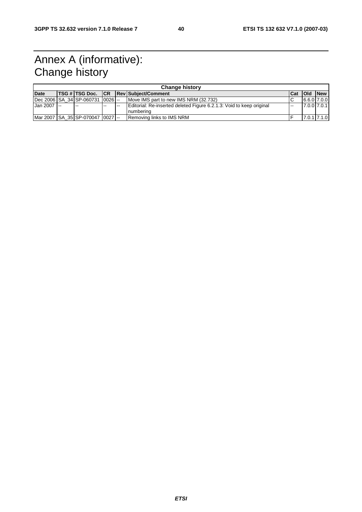## Annex A (informative): Change history

| <b>Change history</b> |  |                                          |       |      |                                                                                    |       |               |                 |
|-----------------------|--|------------------------------------------|-------|------|------------------------------------------------------------------------------------|-------|---------------|-----------------|
| <b>Date</b>           |  | TSG # TSG Doc.   CR                      |       |      | Rev Subject/Comment                                                                | l Cat | <b>I</b> Old  | <b>New</b>      |
|                       |  | IDec 2006 ISA 34 ISP-060731 10026 I--    |       |      | Move IMS part to new IMS NRM (32.732)                                              |       | $6.6.0$ 7.0.0 |                 |
| Jan 2007 --           |  | $-$                                      | $- -$ | $-1$ | Editorial: Re-inserted deleted Figure 6.2.1.3: Void to keep original<br>Inumberina |       |               | 7.0.0 7.0.1     |
|                       |  | Mar 2007   SA 35   SP-070047   0027   -- |       |      | Removing links to IMS NRM                                                          |       |               | $7.0.1$ $7.1.0$ |